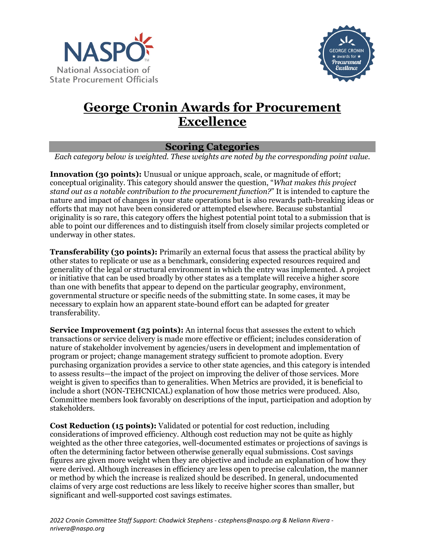



## **George Cronin Awards for Procurement Excellence**

## **Scoring Categories**

*Each category below is weighted. These weights are noted by the corresponding point value.*

**Innovation (30 points):** Unusual or unique approach, scale, or magnitude of effort; conceptual originality. This category should answer the question, "*What makes this project stand out as a notable contribution to the procurement function?*" It is intended to capture the nature and impact of changes in your state operations but is also rewards path-breaking ideas or efforts that may not have been considered or attempted elsewhere. Because substantial originality is so rare, this category offers the highest potential point total to a submission that is able to point our differences and to distinguish itself from closely similar projects completed or underway in other states.

**Transferability (30 points):** Primarily an external focus that assess the practical ability by other states to replicate or use as a benchmark, considering expected resources required and generality of the legal or structural environment in which the entry was implemented. A project or initiative that can be used broadly by other states as a template will receive a higher score than one with benefits that appear to depend on the particular geography, environment, governmental structure or specific needs of the submitting state. In some cases, it may be necessary to explain how an apparent state-bound effort can be adapted for greater transferability.

**Service Improvement (25 points):** An internal focus that assesses the extent to which transactions or service delivery is made more effective or efficient; includes consideration of nature of stakeholder involvement by agencies/users in development and implementation of program or project; change management strategy sufficient to promote adoption. Every purchasing organization provides a service to other state agencies, and this category is intended to assess results—the impact of the project on improving the deliver of those services. More weight is given to specifics than to generalities. When Metrics are provided, it is beneficial to include a short (NON-TEHCNICAL) explanation of how those metrics were produced. Also, Committee members look favorably on descriptions of the input, participation and adoption by stakeholders.

**Cost Reduction (15 points):** Validated or potential for cost reduction, including considerations of improved efficiency. Although cost reduction may not be quite as highly weighted as the other three categories, well-documented estimates or projections of savings is often the determining factor between otherwise generally equal submissions. Cost savings figures are given more weight when they are objective and include an explanation of how they were derived. Although increases in efficiency are less open to precise calculation, the manner or method by which the increase is realized should be described. In general, undocumented claims of very arge cost reductions are less likely to receive higher scores than smaller, but significant and well-supported cost savings estimates.